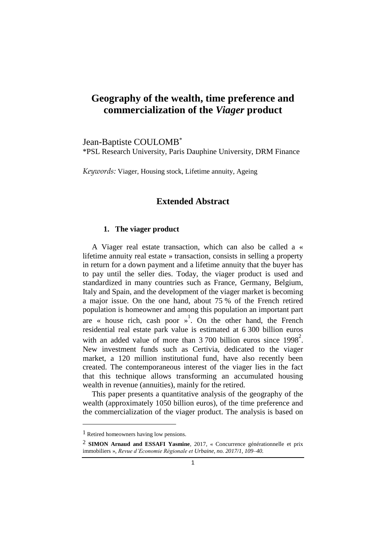# **Geography of the wealth, time preference and commercialization of the** *Viager* **product**

Jean-Baptiste COULOMB\* \*PSL Research University, Paris Dauphine University, DRM Finance

*Keywords:* Viager, Housing stock, Lifetime annuity, Ageing

# **Extended Abstract**

#### **1. The viager product**

A Viager real estate transaction, which can also be called a « lifetime annuity real estate » transaction, consists in selling a property in return for a down payment and a lifetime annuity that the buyer has to pay until the seller dies. Today, the viager product is used and standardized in many countries such as France, Germany, Belgium, Italy and Spain, and the development of the viager market is becoming a major issue. On the one hand, about 75 % of the French retired population is homeowner and among this population an important part are « house rich, cash poor  $\frac{1}{2}$ . On the other hand, the French residential real estate park value is estimated at 6 300 billion euros with an added value of more than  $3700$  billion euros since  $1998^2$ . New investment funds such as Certivia, dedicated to the viager market, a 120 million institutional fund, have also recently been created. The contemporaneous interest of the viager lies in the fact that this technique allows transforming an accumulated housing wealth in revenue (annuities), mainly for the retired.

This paper presents a quantitative analysis of the geography of the wealth (approximately 1050 billion euros), of the time preference and the commercialization of the viager product. The analysis is based on

1

<sup>1</sup> Retired homeowners having low pensions.

<sup>2</sup> **SIMON Arnaud and ESSAFI Yasmine**, 2017, « Concurrence générationnelle et prix immobiliers », *Revue d'Economie Régionale et Urbaine, no. 2017/1, 109–40.*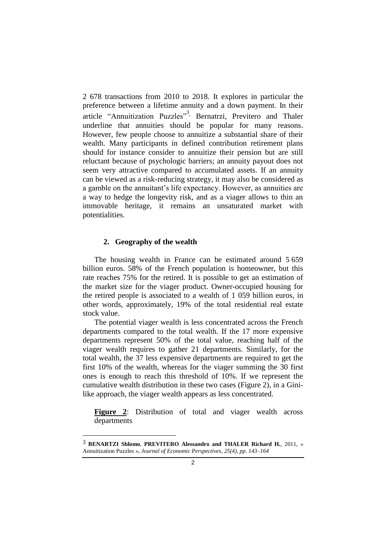2 678 transactions from 2010 to 2018. It explores in particular the preference between a lifetime annuity and a down payment. In their article "Annuitization Puzzles"<sup>3,</sup> Bernatrzi, Previtero and Thaler underline that annuities should be popular for many reasons. However, few people choose to annuitize a substantial share of their wealth. Many participants in defined contribution retirement plans should for instance consider to annuitize their pension but are still reluctant because of psychologic barriers; an annuity payout does not seem very attractive compared to accumulated assets. If an annuity can be viewed as a risk-reducing strategy, it may also be considered as a gamble on the annuitant's life expectancy. However, as annuities are a way to hedge the longevity risk, and as a viager allows to thin an immovable heritage, it remains an unsaturated market with potentialities.

#### **2. Geography of the wealth**

-

The housing wealth in France can be estimated around 5 659 billion euros. 58% of the French population is homeowner, but this rate reaches 75% for the retired. It is possible to get an estimation of the market size for the viager product. Owner-occupied housing for the retired people is associated to a wealth of 1 059 billion euros, in other words, approximately, 19% of the total residential real estate stock value.

The potential viager wealth is less concentrated across the French departments compared to the total wealth. If the 17 more expensive departments represent 50% of the total value, reaching half of the viager wealth requires to gather 21 departments. Similarly, for the total wealth, the 37 less expensive departments are required to get the first 10% of the wealth, whereas for the viager summing the 30 first ones is enough to reach this threshold of 10%. If we represent the cumulative wealth distribution in these two cases (Figure 2), in a Ginilike approach, the viager wealth appears as less concentrated.

**Figure 2**: Distribution of total and viager wealth across departments

<sup>3</sup> **BENARTZI Shlomo**, **PREVITERO Alessandro and THALER Richard H.**, 2011, « Annuitization Puzzles », *Journal of Economic Perspectives, 25(4), pp. 143–164*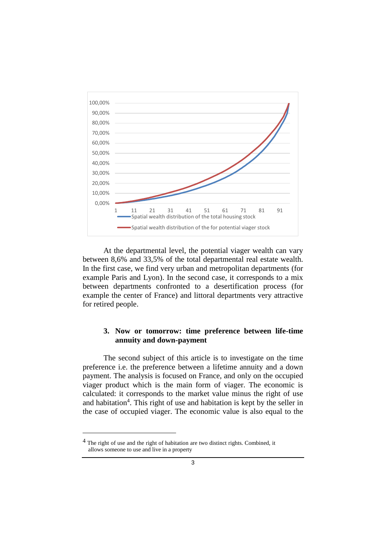

At the departmental level, the potential viager wealth can vary between 8,6% and 33,5% of the total departmental real estate wealth. In the first case, we find very urban and metropolitan departments (for example Paris and Lyon). In the second case, it corresponds to a mix between departments confronted to a desertification process (for example the center of France) and littoral departments very attractive for retired people.

## **3. Now or tomorrow: time preference between life-time annuity and down-payment**

The second subject of this article is to investigate on the time preference i.e. the preference between a lifetime annuity and a down payment. The analysis is focused on France, and only on the occupied viager product which is the main form of viager. The economic is calculated: it corresponds to the market value minus the right of use and habitation<sup>4</sup>. This right of use and habitation is kept by the seller in the case of occupied viager. The economic value is also equal to the

-

<sup>4</sup> The right of use and the right of habitation are two distinct rights. Combined, it allows someone to use and live in a property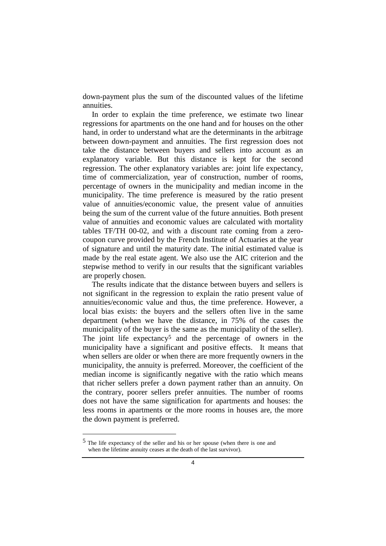down-payment plus the sum of the discounted values of the lifetime annuities.

In order to explain the time preference, we estimate two linear regressions for apartments on the one hand and for houses on the other hand, in order to understand what are the determinants in the arbitrage between down-payment and annuities. The first regression does not take the distance between buyers and sellers into account as an explanatory variable. But this distance is kept for the second regression. The other explanatory variables are: joint life expectancy, time of commercialization, year of construction, number of rooms, percentage of owners in the municipality and median income in the municipality. The time preference is measured by the ratio present value of annuities/economic value, the present value of annuities being the sum of the current value of the future annuities. Both present value of annuities and economic values are calculated with mortality tables TF/TH 00-02, and with a discount rate coming from a zerocoupon curve provided by the French Institute of Actuaries at the year of signature and until the maturity date. The initial estimated value is made by the real estate agent. We also use the AIC criterion and the stepwise method to verify in our results that the significant variables are properly chosen.

The results indicate that the distance between buyers and sellers is not significant in the regression to explain the ratio present value of annuities/economic value and thus, the time preference. However, a local bias exists: the buyers and the sellers often live in the same department (when we have the distance, in 75% of the cases the municipality of the buyer is the same as the municipality of the seller). The joint life expectancy<sup>5</sup> and the percentage of owners in the municipality have a significant and positive effects. It means that when sellers are older or when there are more frequently owners in the municipality, the annuity is preferred. Moreover, the coefficient of the median income is significantly negative with the ratio which means that richer sellers prefer a down payment rather than an annuity. On the contrary, poorer sellers prefer annuities. The number of rooms does not have the same signification for apartments and houses: the less rooms in apartments or the more rooms in houses are, the more the down payment is preferred.

1

<sup>5</sup> The life expectancy of the seller and his or her spouse (when there is one and when the lifetime annuity ceases at the death of the last survivor).